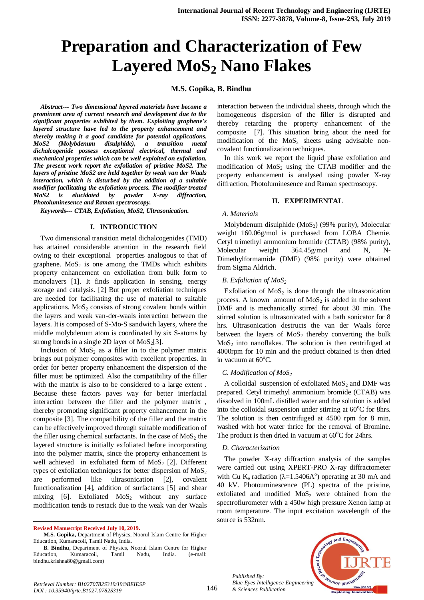# **Preparation and Characterization of Few Layered MoS<sup>2</sup> Nano Flakes**

## **M.S. Gopika, B. Bindhu**

*Abstract--- Two dimensional layered materials have become a prominent area of current research and development due to the significant properties exhibited by them. Exploiting graphene's layered structure have led to the property enhancement and thereby making it a good candidate for potential applications. MoS2 (Molybdenum disulphide), a transition metal dichalcogenide possess exceptional electrical, thermal and mechanical properties which can be well exploited on exfoliation. The present work report the exfoliation of pristine MoS2. The layers of pristine MoS2 are held together by weak van der Waals interaction, which is disturbed by the addition of a suitable modifier facilitating the exfoliation process. The modifier treated MoS2 is elucidated by powder X-ray diffraction, Photoluminesence and Raman spectroscopy.*

*Keywords--- CTAB, Exfoliation, MoS2, Ultrasonication.*

#### **I. INTRODUCTION**

Two dimensional transition metal dichalcogenides (TMD) has attained considerable attention in the research field owing to their exceptional properties analogous to that of graphene.  $MoS<sub>2</sub>$  is one among the TMDs which exhibits property enhancement on exfoliation from bulk form to monolayers [1]. It finds application in sensing, energy storage and catalysis. [2] But proper exfoliation techniques are needed for facilitating the use of material to suitable applications.  $MoS<sub>2</sub>$  consists of strong covalent bonds within the layers and weak van-der-waals interaction between the layers. It is composed of S-Mo-S sandwich layers, where the middle molybdenum atom is coordinated by six S-atoms by strong bonds in a single 2D layer of  $MoS<sub>2</sub>[3]$ .

Inclusion of  $MoS<sub>2</sub>$  as a filler in to the polymer matrix brings out polymer composites with excellent properties. In order for better property enhancement the dispersion of the filler must be optimized. Also the compatibility of the filler with the matrix is also to be considered to a large extent . Because these factors paves way for better interfacial interaction between the filler and the polymer matrix , thereby promoting significant property enhancement in the composite [3]. The compatibility of the filler and the matrix can be effectively improved through suitable modification of the filler using chemical surfactants. In the case of  $MoS<sub>2</sub>$  the layered structure is initially exfoliated before incorporating into the polymer matrix, since the property enhancement is well achieved in exfoliated form of  $M_0S_2$  [2]. Different types of exfoliation techniques for better dispersion of  $MoS<sub>2</sub>$ are performed like ultrasonication [2], covalent functionalization [4], addition of surfactants [5] and shear mixing [6]. Exfoliated  $MoS<sub>2</sub>$  without any surface modification tends to restack due to the weak van der Waals

-

interaction between the individual sheets, through which the homogeneous dispersion of the filler is disrupted and thereby retarding the property enhancement of the composite [7]. This situation bring about the need for modification of the  $MoS<sub>2</sub>$  sheets using advisable noncovalent functionalization techniques.

In this work we report the liquid phase exfoliation and modification of  $MoS<sub>2</sub>$  using the CTAB modifier and the property enhancement is analysed using powder X-ray diffraction, Photoluminesence and Raman spectroscopy.

## **II. EXPERIMENTAL**

#### *A. Materials*

Molybdenum disulphide  $(MoS<sub>2</sub>)$  (99% purity), Molecular weight 160.06g/mol is purchased from LOBA Chemie. Cetyl trimethyl ammonium bromide (CTAB) (98% purity), Molecular weight 364.45g/mol and N, N-Dimethylformamide (DMF) (98% purity) were obtained from Sigma Aldrich.

#### *B. Exfoliation of MoS<sup>2</sup>*

Exfoliation of  $MoS<sub>2</sub>$  is done through the ultrasonication process. A known amount of  $MoS<sub>2</sub>$  is added in the solvent DMF and is mechanically stirred for about 30 min. The stirred solution is ultrasonicated with a bath sonicator for 8 hrs. Ultrasonication destructs the van der Waals force between the layers of  $MoS<sub>2</sub>$  thereby converting the bulk  $MoS<sub>2</sub>$  into nanoflakes. The solution is then centrifuged at 4000rpm for 10 min and the product obtained is then dried in vacuum at  $60^{\circ}$ C.

#### *C. Modification of MoS<sup>2</sup>*

A colloidal suspension of exfoliated  $MoS<sub>2</sub>$  and DMF was prepared. Cetyl trimethyl ammonium bromide (CTAB) was dissolved in 100mL distilled water and the solution is added into the colloidal suspension under stirring at  $60^{\circ}$ C for 8hrs. The solution is then centrifuged at 4500 rpm for 8 min, washed with hot water thrice for the removal of Bromine. The product is then dried in vacuum at  $60^{\circ}$ C for 24hrs.

#### *D. Characterization*

The powder X-ray diffraction analysis of the samples were carried out using XPERT-PRO X-ray diffractometer with Cu K<sub>a</sub> radiation ( $\lambda$ =1.5406A<sup>o</sup>) operating at 30 mA and 40 kV. Photouminescence (PL) spectra of the pristine, exfoliated and modified  $MoS<sub>2</sub>$  were obtained from the spectroflurometer with a 450w high pressure Xenon lamp at room temperature. The input excitation wavelength of the source is 532nm.



*Published By: Blue Eyes Intelligence Engineering & Sciences Publication* 

**Revised Manuscript Received July 10, 2019.** 

**M.S. Gopika,** Department of Physics, Noorul Islam Centre for Higher Education, Kumaracoil, Tamil Nadu, India.

**B. Bindhu,** Department of Physics, Noorul Islam Centre for Higher Education, Kumaracoil, Tamil Nadu, India. (e-mail: bindhu.krishna80@gmail.com)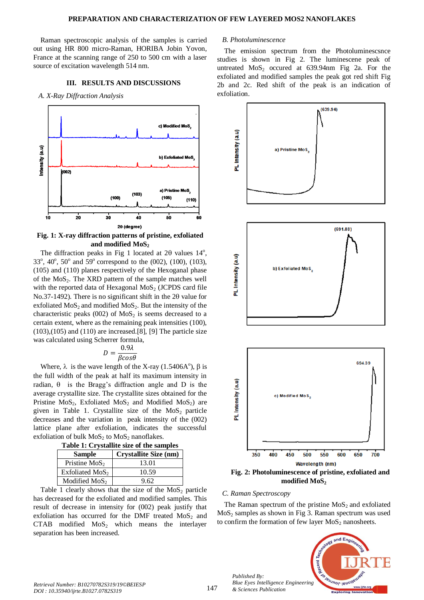Raman spectroscopic analysis of the samples is carried out using HR 800 micro-Raman, HORIBA Jobin Yovon, France at the scanning range of 250 to 500 cm with a laser source of excitation wavelength 514 nm.

#### **III. RESULTS AND DISCUSSIONS**

*A. X-Ray Diffraction Analysis*



**Fig. 1: X-ray diffraction patterns of pristine, exfoliated and modified MoS<sup>2</sup>**

The diffraction peaks in Fig 1 located at  $2\theta$  values  $14^\circ$ , 33<sup>o</sup>, 40<sup>o</sup>, 50<sup>o</sup> and 59<sup>o</sup> correspond to the (002), (100), (103), (105) and (110) planes respectively of the Hexoganal phase of the MoS2. The XRD pattern of the sample matches well with the reported data of Hexagonal  $MoS<sub>2</sub>$  (JCPDS card file No.37-1492). There is no significant shift in the  $2\theta$  value for exfoliated  $MoS<sub>2</sub>$  and modified  $MoS<sub>2</sub>$ . But the intensity of the characteristic peaks (002) of  $MoS<sub>2</sub>$  is seems decreased to a certain extent, where as the remaining peak intensities (100),  $(103),(105)$  and  $(110)$  are increased.[8], [9] The particle size was calculated using Scherrer formula,

$$
D = \frac{0.9\lambda}{\beta cos \theta}
$$

Where,  $\lambda$  is the wave length of the X-ray (1.5406A<sup>o</sup>),  $\beta$  is the full width of the peak at half its maximum intensity in radian,  $\theta$  is the Bragg's diffraction angle and D is the average crystallite size. The crystallite sizes obtained for the Pristine  $MoS<sub>2</sub>$ , Exfoliated MoS<sub>2</sub> and Modified MoS<sub>2</sub>) are given in Table 1. Crystallite size of the  $MoS<sub>2</sub>$  particle decreases and the variation in peak intensity of the (002) lattice plane after exfoliation, indicates the successful exfoliation of bulk  $MoS<sub>2</sub>$  to  $MoS<sub>2</sub>$  nanoflakes.

| Table 1: Crystallite size of the samples |  |  |
|------------------------------------------|--|--|
|                                          |  |  |

| <b>Sample</b>     | <b>Crystallite Size (nm)</b> |  |  |
|-------------------|------------------------------|--|--|
| Pristine $MoS2$   | 13.01                        |  |  |
| Exfoliated $MoS2$ | 10.59                        |  |  |
| Modified $MoS2$   | 9.62                         |  |  |

Table 1 clearly shows that the size of the  $MoS<sub>2</sub>$  particle has decreased for the exfoliated and modified samples. This result of decrease in intensity for (002) peak justify that exfoliation has occurred for the DMF treated  $MoS<sub>2</sub>$  and  $CTAB$  modified  $MoS<sub>2</sub>$  which means the interlayer separation has been increased.

### *B. Photoluminescence*

The emission spectrum from the Photoluminescsnce studies is shown in Fig 2. The luminescene peak of untreated  $MoS<sub>2</sub>$  occured at 639.94nm Fig 2a. For the exfoliated and modified samples the peak got red shift Fig 2b and 2c. Red shift of the peak is an indication of exfoliation.



#### *C. Raman Spectroscopy*

*Published By:*

*& Sciences Publication* 

The Raman spectrum of the pristine  $MoS<sub>2</sub>$  and exfoliated  $MoS<sub>2</sub>$  samples as shown in Fig 3. Raman spectrum was used to confirm the formation of few layer  $MoS<sub>2</sub>$  nanosheets.